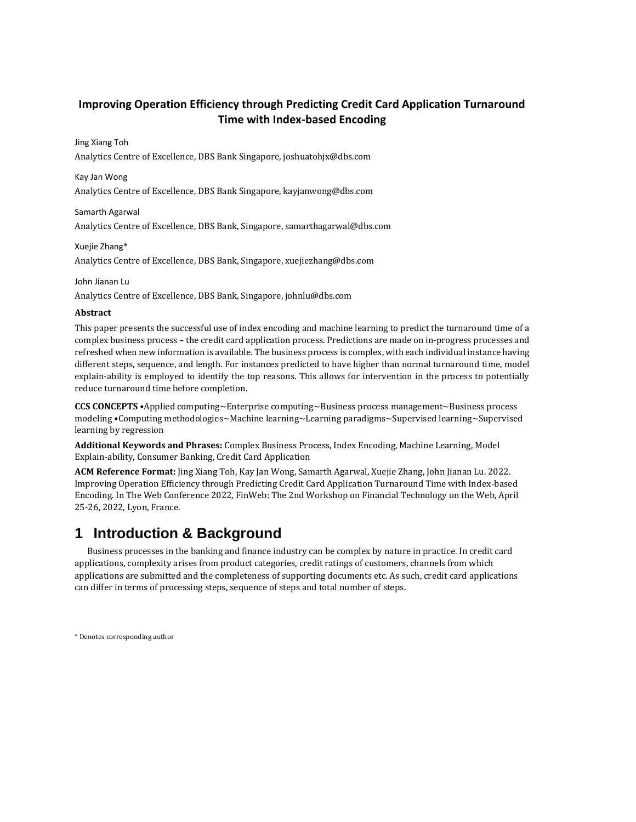### **Improving Operation Efficiency through Predicting Credit Card Application Turnaround Time with Index-based Encoding**

#### Jing Xiang Toh

Analytics Centre of Excellence, DBS Bank Singapore, joshuatohjx@dbs.com

#### Kay Jan Wong

Analytics Centre of Excellence, DBS Bank Singapore, kayjanwong@dbs.com

#### Samarth Agarwal

Analytics Centre of Excellence, DBS Bank, Singapore, samarthagarwal@dbs.com

#### Xuejie Zhang\*

Analytics Centre of Excellence, DBS Bank, Singapore, xuejiezhang@dbs.com

#### John Jianan Lu

Analytics Centre of Excellence, DBS Bank, Singapore, johnlu@dbs.com

#### **Abstract**

This paper presents the successful use of index encoding and machine learning to predict the turnaround time of a complex business process – the credit card application process. Predictions are made on in-progress processes and refreshed when new information is available. The business process is complex, with each individual instance having different steps, sequence, and length. For instances predicted to have higher than normal turnaround time, model explain-ability is employed to identify the top reasons. This allows for intervention in the process to potentially reduce turnaround time before completion.

**CCS CONCEPTS** •Applied computing~Enterprise computing~Business process management~Business process modeling •Computing methodologies~Machine learning~Learning paradigms~Supervised learning~Supervised learning by regression

**Additional Keywords and Phrases:** Complex Business Process, Index Encoding, Machine Learning, Model Explain-ability, Consumer Banking, Credit Card Application

**ACM Reference Format:** Jing Xiang Toh, Kay Jan Wong, Samarth Agarwal, Xuejie Zhang, John Jianan Lu. 2022. Improving Operation Efficiency through Predicting Credit Card Application Turnaround Time with Index-based Encoding. In The Web Conference 2022, FinWeb: The 2nd Workshop on Financial Technology on the Web, April 25-26, 2022, Lyon, France.

# **1 Introduction & Background**

Business processes in the banking and finance industry can be complex by nature in practice. In credit card applications, complexity arises from product categories, credit ratings of customers, channels from which applications are submitted and the completeness of supporting documents etc. As such, credit card applications can differ in terms of processing steps, sequence of steps and total number of steps.

\* Denotes corresponding author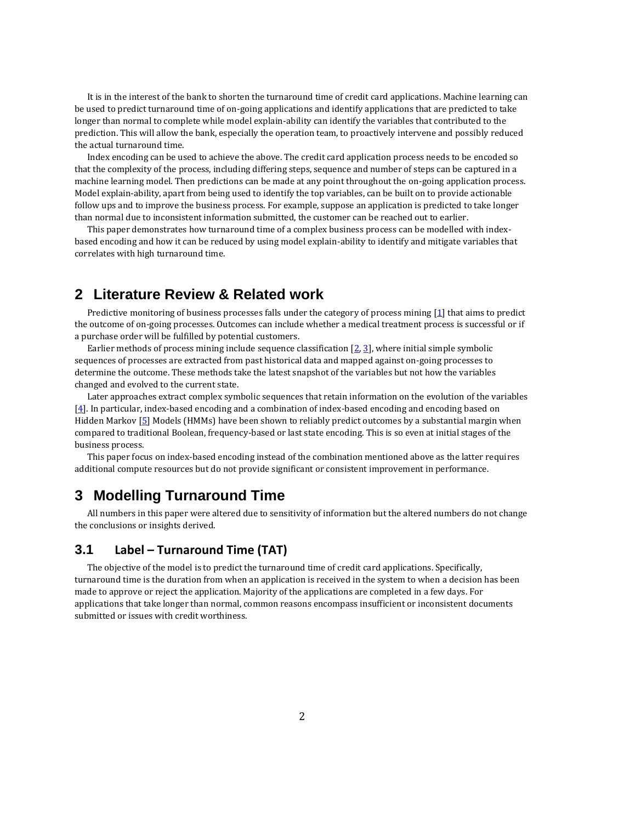It is in the interest of the bank to shorten the turnaround time of credit card applications. Machine learning can be used to predict turnaround time of on-going applications and identify applications that are predicted to take longer than normal to complete while model explain-ability can identify the variables that contributed to the prediction. This will allow the bank, especially the operation team, to proactively intervene and possibly reduced the actual turnaround time.

Index encoding can be used to achieve the above. The credit card application process needs to be encoded so that the complexity of the process, including differing steps, sequence and number of steps can be captured in a machine learning model. Then predictions can be made at any point throughout the on-going application process. Model explain-ability, apart from being used to identify the top variables, can be built on to provide actionable follow ups and to improve the business process. For example, suppose an application is predicted to take longer than normal due to inconsistent information submitted, the customer can be reached out to earlier.

This paper demonstrates how turnaround time of a complex business process can be modelled with indexbased encoding and how it can be reduced by using model explain-ability to identify and mitigate variables that correlates with high turnaround time.

# **2 Literature Review & Related work**

Predictive monitoring of business processes falls under the category of process mining [\[1\]](#page-8-0) that aims to predict the outcome of on-going processes. Outcomes can include whether a medical treatment process is successful or if a purchase order will be fulfilled by potential customers.

Earlier methods of process mining include sequence classification  $[2, 3]$  $[2, 3]$ , where initial simple symbolic sequences of processes are extracted from past historical data and mapped against on-going processes to determine the outcome. These methods take the latest snapshot of the variables but not how the variables changed and evolved to the current state.

Later approaches extract complex symbolic sequences that retain information on the evolution of the variables  $[4]$ . In particular, index-based encoding and a combination of index-based encoding and encoding based on Hidden Markov [\[5\]](#page-9-1) Models (HMMs) have been shown to reliably predict outcomes by a substantial margin when compared to traditional Boolean, frequency-based or last state encoding. This is so even at initial stages of the business process.

This paper focus on index-based encoding instead of the combination mentioned above as the latter requires additional compute resources but do not provide significant or consistent improvement in performance.

# **3 Modelling Turnaround Time**

All numbers in this paper were altered due to sensitivity of information but the altered numbers do not change the conclusions or insights derived.

#### **3.1 Label – Turnaround Time (TAT)**

The objective of the model is to predict the turnaround time of credit card applications. Specifically, turnaround time is the duration from when an application is received in the system to when a decision has been made to approve or reject the application. Majority of the applications are completed in a few days. For applications that take longer than normal, common reasons encompass insufficient or inconsistent documents submitted or issues with credit worthiness.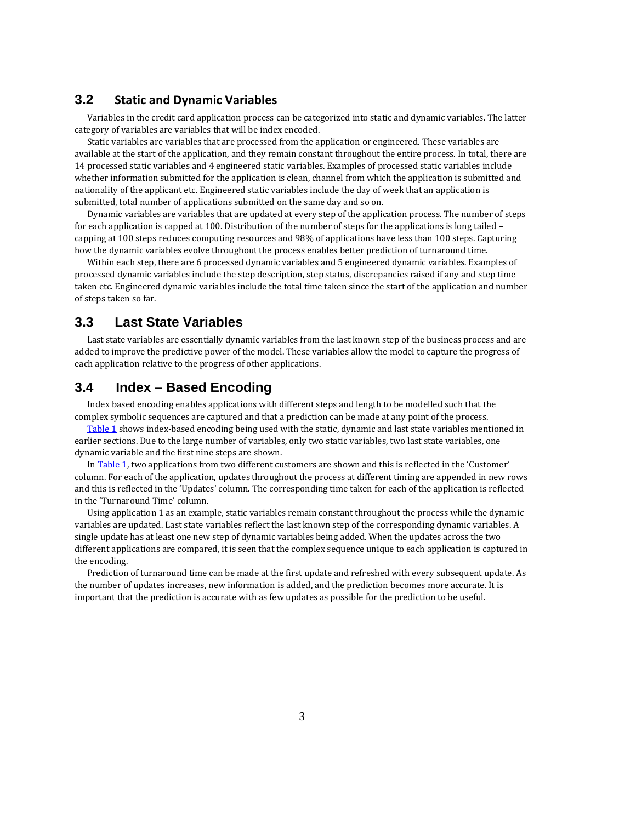#### **3.2 Static and Dynamic Variables**

Variables in the credit card application process can be categorized into static and dynamic variables. The latter category of variables are variables that will be index encoded.

Static variables are variables that are processed from the application or engineered. These variables are available at the start of the application, and they remain constant throughout the entire process. In total, there are 14 processed static variables and 4 engineered static variables. Examples of processed static variables include whether information submitted for the application is clean, channel from which the application is submitted and nationality of the applicant etc. Engineered static variables include the day of week that an application is submitted, total number of applications submitted on the same day and so on.

Dynamic variables are variables that are updated at every step of the application process. The number of steps for each application is capped at 100. Distribution of the number of steps for the applications is long tailed – capping at 100 steps reduces computing resources and 98% of applications have less than 100 steps. Capturing how the dynamic variables evolve throughout the process enables better prediction of turnaround time.

Within each step, there are 6 processed dynamic variables and 5 engineered dynamic variables. Examples of processed dynamic variables include the step description, step status, discrepancies raised if any and step time taken etc. Engineered dynamic variables include the total time taken since the start of the application and number of steps taken so far.

### **3.3 Last State Variables**

Last state variables are essentially dynamic variables from the last known step of the business process and are added to improve the predictive power of the model. These variables allow the model to capture the progress of each application relative to the progress of other applications.

### **3.4 Index – Based Encoding**

Index based encoding enables applications with different steps and length to be modelled such that the complex symbolic sequences are captured and that a prediction can be made at any point of the process.

[Table 1](#page-3-0) shows index-based encoding being used with the static, dynamic and last state variables mentioned in earlier sections. Due to the large number of variables, only two static variables, two last state variables, one dynamic variable and the first nine steps are shown.

In [Table 1](#page-3-0), two applications from two different customers are shown and this is reflected in the 'Customer' column. For each of the application, updates throughout the process at different timing are appended in new rows and this is reflected in the 'Updates' column. The corresponding time taken for each of the application is reflected in the 'Turnaround Time' column.

Using application 1 as an example, static variables remain constant throughout the process while the dynamic variables are updated. Last state variables reflect the last known step of the corresponding dynamic variables. A single update has at least one new step of dynamic variables being added. When the updates across the two different applications are compared, it is seen that the complex sequence unique to each application is captured in the encoding.

Prediction of turnaround time can be made at the first update and refreshed with every subsequent update. As the number of updates increases, new information is added, and the prediction becomes more accurate. It is important that the prediction is accurate with as few updates as possible for the prediction to be useful.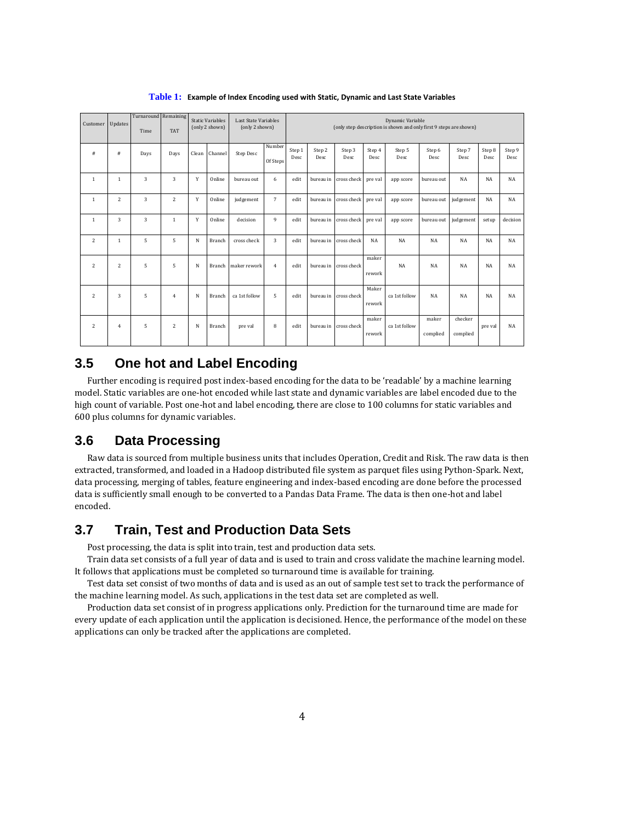<span id="page-3-0"></span>

| Customer       | Updates        | Turnaround Remaining<br>Time | <b>TAT</b>     |       | <b>Static Variables</b><br>(only 2 shown) | <b>Last State Variables</b><br>(only 2 shown) |                    |                |                |                       |                 | Dynamic Variable<br>(only step description is shown and only first 9 steps are shown) |                   |                     |                |                |
|----------------|----------------|------------------------------|----------------|-------|-------------------------------------------|-----------------------------------------------|--------------------|----------------|----------------|-----------------------|-----------------|---------------------------------------------------------------------------------------|-------------------|---------------------|----------------|----------------|
| #              | #              | Days                         | Days           | Clean | Channel                                   | Step Desc                                     | Number<br>Of Steps | Step 1<br>Desc | Step 2<br>Desc | Step 3<br>Desc        | Step 4<br>Desc  | Step 5<br>Desc                                                                        | Step 6<br>Desc    | Step 7<br>Desc      | Step 8<br>Desc | Step 9<br>Desc |
| $\mathbf{1}$   | $\mathbf{1}$   | 3                            | 3              | Y     | Online                                    | bureau out                                    | 6                  | edit           |                | bureau in cross check | pre val         | app score                                                                             | bureau out        | <b>NA</b>           | NA             | <b>NA</b>      |
| $\mathbf{1}$   | $\overline{2}$ | 3                            | 2              | Y     | Online                                    | judgement                                     | 7                  | edit           |                | bureau in cross check | pre val         | app score                                                                             | bureau out        | judgement           | NA             | NA             |
| $\mathbf{1}$   | 3              | 3                            | $\mathbf{1}$   | Y     | Online                                    | decision                                      | 9                  | edit           |                | bureau in cross check | pre val         | app score                                                                             | bureau out        | judgement           | setup          | decision       |
| $\overline{2}$ | $\mathbf{1}$   | 5                            | 5              | N     | Branch                                    | cross check                                   | 3                  | edit           | bureau in      | cross check           | NA              | <b>NA</b>                                                                             | <b>NA</b>         | <b>NA</b>           | <b>NA</b>      | <b>NA</b>      |
| $\overline{c}$ | $\overline{2}$ | 5                            | 5              | N     | Branch                                    | maker rework                                  | 4                  | edit           |                | bureau in cross check | maker<br>rework | <b>NA</b>                                                                             | <b>NA</b>         | <b>NA</b>           | NA             | <b>NA</b>      |
| $\overline{c}$ | 3              | 5                            | $\overline{4}$ | N     | Branch                                    | ca 1st follow                                 | 5                  | edit           |                | bureau in cross check | Maker<br>rework | ca 1st follow                                                                         | <b>NA</b>         | <b>NA</b>           | NA             | <b>NA</b>      |
| $\overline{2}$ | 4              | 5                            | $\overline{2}$ | N     | Branch                                    | pre val                                       | 8                  | edit           |                | bureau in cross check | maker<br>rework | ca 1st follow                                                                         | maker<br>complied | checker<br>complied | pre val        | <b>NA</b>      |

**Table 1: Example of Index Encoding used with Static, Dynamic and Last State Variables**

### **3.5 One hot and Label Encoding**

Further encoding is required post index-based encoding for the data to be 'readable' by a machine learning model. Static variables are one-hot encoded while last state and dynamic variables are label encoded due to the high count of variable. Post one-hot and label encoding, there are close to 100 columns for static variables and 600 plus columns for dynamic variables.

#### **3.6 Data Processing**

Raw data is sourced from multiple business units that includes Operation, Credit and Risk. The raw data is then extracted, transformed, and loaded in a Hadoop distributed file system as parquet files using Python-Spark. Next, data processing, merging of tables, feature engineering and index-based encoding are done before the processed data is sufficiently small enough to be converted to a Pandas Data Frame. The data is then one-hot and label encoded.

### **3.7 Train, Test and Production Data Sets**

Post processing, the data is split into train, test and production data sets.

Train data set consists of a full year of data and is used to train and cross validate the machine learning model. It follows that applications must be completed so turnaround time is available for training.

Test data set consist of two months of data and is used as an out of sample test set to track the performance of the machine learning model. As such, applications in the test data set are completed as well.

Production data set consist of in progress applications only. Prediction for the turnaround time are made for every update of each application until the application is decisioned. Hence, the performance of the model on these applications can only be tracked after the applications are completed.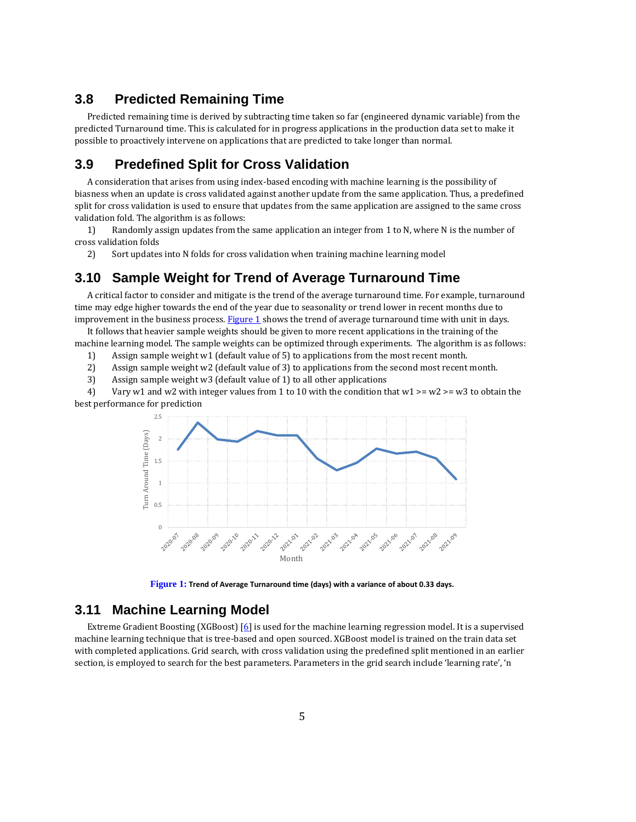#### **3.8 Predicted Remaining Time**

Predicted remaining time is derived by subtracting time taken so far (engineered dynamic variable) from the predicted Turnaround time. This is calculated for in progress applications in the production data set to make it possible to proactively intervene on applications that are predicted to take longer than normal.

### **3.9 Predefined Split for Cross Validation**

A consideration that arises from using index-based encoding with machine learning is the possibility of biasness when an update is cross validated against another update from the same application. Thus, a predefined split for cross validation is used to ensure that updates from the same application are assigned to the same cross validation fold. The algorithm is as follows:

1) Randomly assign updates from the same application an integer from 1 to N, where N is the number of cross validation folds

2) Sort updates into N folds for cross validation when training machine learning model

### **3.10 Sample Weight for Trend of Average Turnaround Time**

A critical factor to consider and mitigate is the trend of the average turnaround time. For example, turnaround time may edge higher towards the end of the year due to seasonality or trend lower in recent months due to improvement in the business process. Figure  $1$  shows the trend of average turnaround time with unit in days.

It follows that heavier sample weights should be given to more recent applications in the training of the machine learning model. The sample weights can be optimized through experiments. The algorithm is as follows:

1) Assign sample weight w1 (default value of 5) to applications from the most recent month.

- 2) Assign sample weight w2 (default value of 3) to applications from the second most recent month.
- 3) Assign sample weight w3 (default value of 1) to all other applications

4) Vary w1 and w2 with integer values from 1 to 10 with the condition that w1  $\geq$  w2  $\geq$  w3 to obtain the best performance for prediction



**Figure 1: Trend of Average Turnaround time (days) with a variance of about 0.33 days.**

### <span id="page-4-0"></span>**3.11 Machine Learning Model**

Extreme Gradient Boosting (XGBoost)  $\lceil \underline{6} \rceil$  is used for the machine learning regression model. It is a supervised machine learning technique that is tree-based and open sourced. XGBoost model is trained on the train data set with completed applications. Grid search, with cross validation using the predefined split mentioned in an earlier section, is employed to search for the best parameters. Parameters in the grid search include 'learning rate', 'n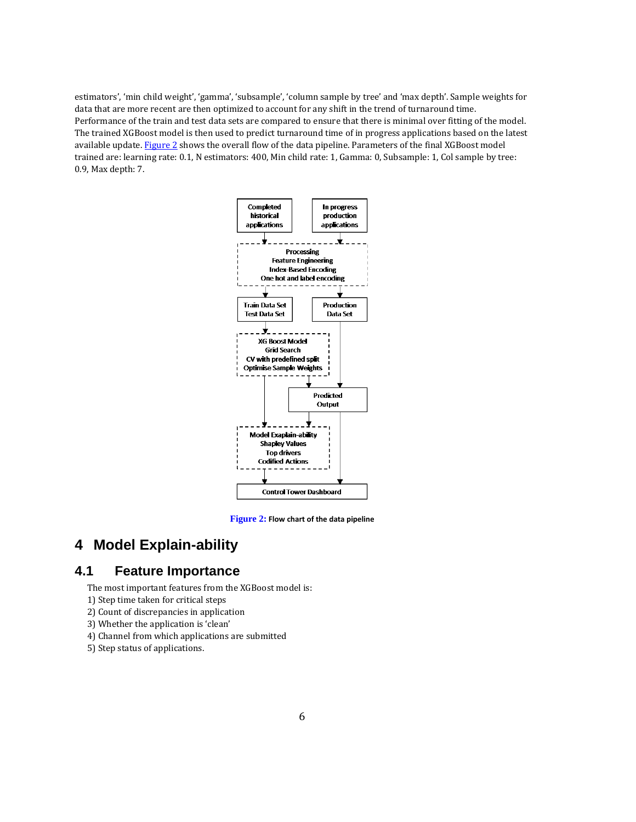estimators', 'min child weight', 'gamma', 'subsample', 'column sample by tree' and 'max depth'. Sample weights for data that are more recent are then optimized to account for any shift in the trend of turnaround time. Performance of the train and test data sets are compared to ensure that there is minimal over fitting of the model. The trained XGBoost model is then used to predict turnaround time of in progress applications based on the latest available update[. Figure 2](#page-5-0) shows the overall flow of the data pipeline. Parameters of the final XGBoost model trained are: learning rate: 0.1, N estimators: 400, Min child rate: 1, Gamma: 0, Subsample: 1, Col sample by tree: 0.9, Max depth: 7.



**Figure 2: Flow chart of the data pipeline**

# <span id="page-5-0"></span>**4 Model Explain-ability**

# **4.1 Feature Importance**

The most important features from the XGBoost model is:

- 1) Step time taken for critical steps
- 2) Count of discrepancies in application
- 3) Whether the application is 'clean'
- 4) Channel from which applications are submitted
- 5) Step status of applications.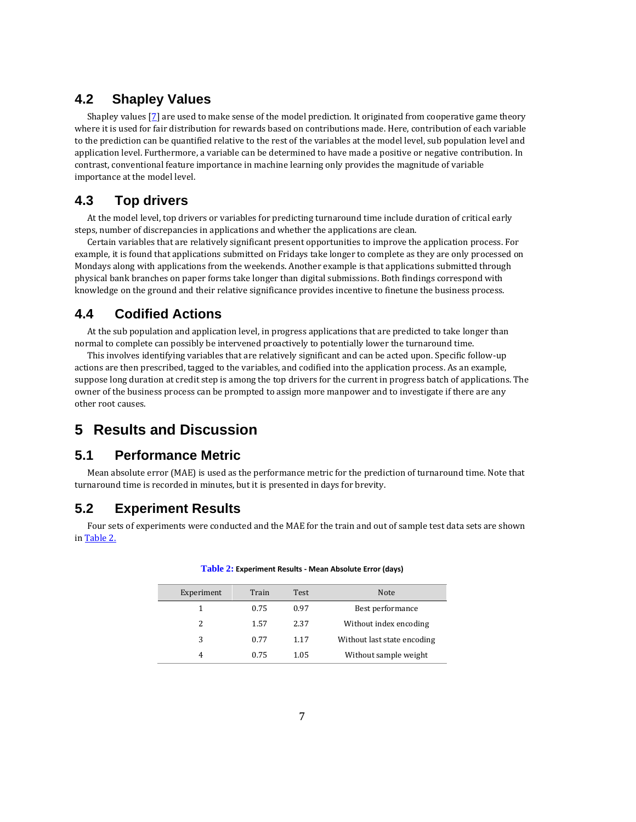### **4.2 Shapley Values**

Shapley values [\[7\]](#page-9-3) are used to make sense of the model prediction. It originated from cooperative game theory where it is used for fair distribution for rewards based on contributions made. Here, contribution of each variable to the prediction can be quantified relative to the rest of the variables at the model level, sub population level and application level. Furthermore, a variable can be determined to have made a positive or negative contribution. In contrast, conventional feature importance in machine learning only provides the magnitude of variable importance at the model level.

### **4.3 Top drivers**

At the model level, top drivers or variables for predicting turnaround time include duration of critical early steps, number of discrepancies in applications and whether the applications are clean.

Certain variables that are relatively significant present opportunities to improve the application process. For example, it is found that applications submitted on Fridays take longer to complete as they are only processed on Mondays along with applications from the weekends. Another example is that applications submitted through physical bank branches on paper forms take longer than digital submissions. Both findings correspond with knowledge on the ground and their relative significance provides incentive to finetune the business process.

### **4.4 Codified Actions**

At the sub population and application level, in progress applications that are predicted to take longer than normal to complete can possibly be intervened proactively to potentially lower the turnaround time.

This involves identifying variables that are relatively significant and can be acted upon. Specific follow-up actions are then prescribed, tagged to the variables, and codified into the application process. As an example, suppose long duration at credit step is among the top drivers for the current in progress batch of applications. The owner of the business process can be prompted to assign more manpower and to investigate if there are any other root causes.

# **5 Results and Discussion**

### **5.1 Performance Metric**

Mean absolute error (MAE) is used as the performance metric for the prediction of turnaround time. Note that turnaround time is recorded in minutes, but it is presented in days for brevity.

### **5.2 Experiment Results**

<span id="page-6-0"></span>Four sets of experiments were conducted and the MAE for the train and out of sample test data sets are shown i[n Table 2.](#page-6-0)

| Experiment    | Train | Test | Note.                       |
|---------------|-------|------|-----------------------------|
| 1             | 0.75  | 0.97 | Best performance            |
| $\mathcal{L}$ | 1.57  | 2.37 | Without index encoding      |
| 3             | 0.77  | 1.17 | Without last state encoding |
| 4             | 0.75  | 1.05 | Without sample weight       |

#### **Table 2: Experiment Results - Mean Absolute Error (days)**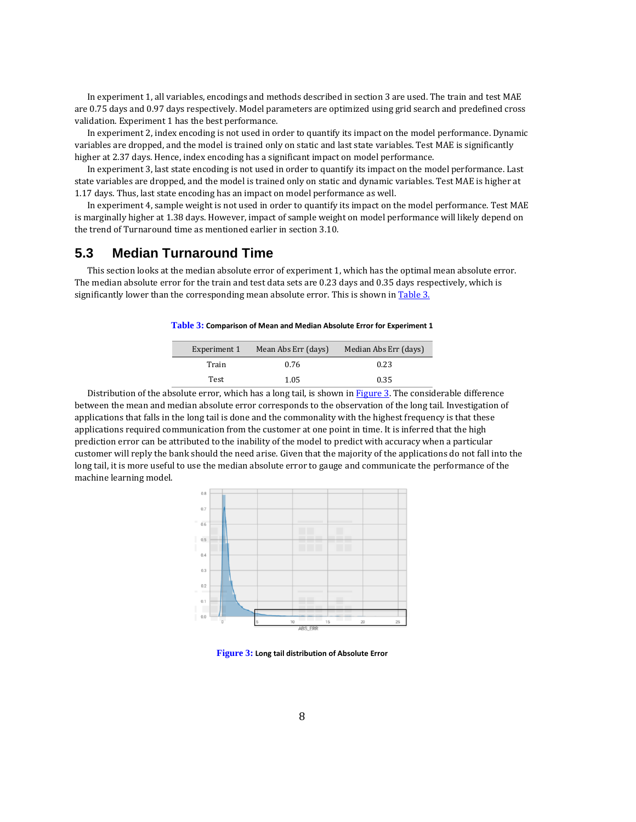In experiment 1, all variables, encodings and methods described in section 3 are used. The train and test MAE are 0.75 days and 0.97 days respectively. Model parameters are optimized using grid search and predefined cross validation. Experiment 1 has the best performance.

In experiment 2, index encoding is not used in order to quantify its impact on the model performance. Dynamic variables are dropped, and the model is trained only on static and last state variables. Test MAE is significantly higher at 2.37 days. Hence, index encoding has a significant impact on model performance.

In experiment 3, last state encoding is not used in order to quantify its impact on the model performance. Last state variables are dropped, and the model is trained only on static and dynamic variables. Test MAE is higher at 1.17 days. Thus, last state encoding has an impact on model performance as well.

In experiment 4, sample weight is not used in order to quantify its impact on the model performance. Test MAE is marginally higher at 1.38 days. However, impact of sample weight on model performance will likely depend on the trend of Turnaround time as mentioned earlier in section 3.10.

#### **5.3 Median Turnaround Time**

<span id="page-7-0"></span>This section looks at the median absolute error of experiment 1, which has the optimal mean absolute error. The median absolute error for the train and test data sets are 0.23 days and 0.35 days respectively, which is significantly lower than the corresponding mean absolute error. This is shown i[n Table 3.](#page-7-0)

#### **Table 3: Comparison of Mean and Median Absolute Error for Experiment 1**

| Experiment 1 | Mean Abs Err (days) | Median Abs Err (days) |
|--------------|---------------------|-----------------------|
| Train        | 0.76                | 0.23                  |
| Test         | 1.05                | 0.35                  |

Distribution of the absolute error, which has a long tail, is shown in [Figure 3.](#page-7-1) The considerable difference between the mean and median absolute error corresponds to the observation of the long tail. Investigation of applications that falls in the long tail is done and the commonality with the highest frequency is that these applications required communication from the customer at one point in time. It is inferred that the high prediction error can be attributed to the inability of the model to predict with accuracy when a particular customer will reply the bank should the need arise. Given that the majority of the applications do not fall into the long tail, it is more useful to use the median absolute error to gauge and communicate the performance of the machine learning model.



<span id="page-7-1"></span>**Figure 3: Long tail distribution of Absolute Error**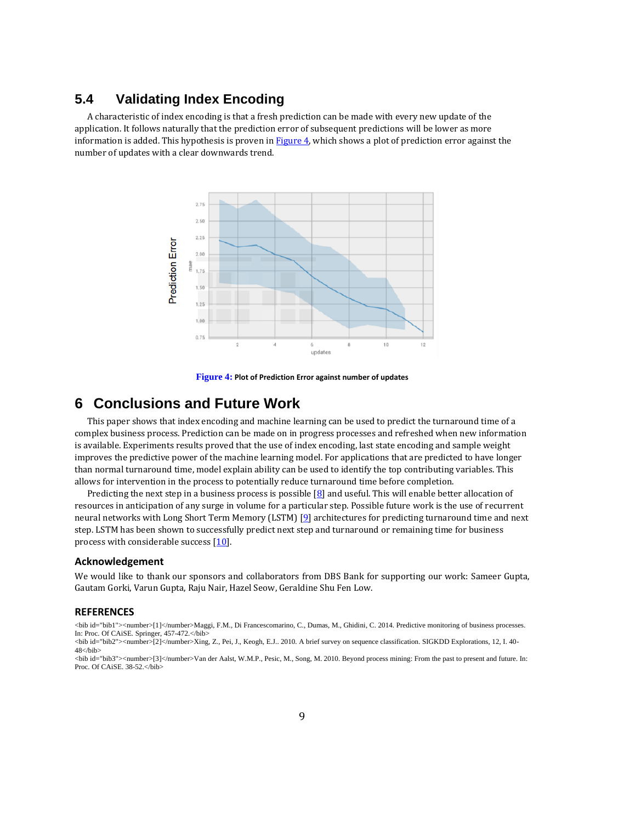### **5.4 Validating Index Encoding**

A characteristic of index encoding is that a fresh prediction can be made with every new update of the application. It follows naturally that the prediction error of subsequent predictions will be lower as more information is added. This hypothesis is proven in  $Figure 4$ , which shows a plot of prediction error against the number of updates with a clear downwards trend.



**Figure 4: Plot of Prediction Error against number of updates**

## <span id="page-8-3"></span>**6 Conclusions and Future Work**

This paper shows that index encoding and machine learning can be used to predict the turnaround time of a complex business process. Prediction can be made on in progress processes and refreshed when new information is available. Experiments results proved that the use of index encoding, last state encoding and sample weight improves the predictive power of the machine learning model. For applications that are predicted to have longer than normal turnaround time, model explain ability can be used to identify the top contributing variables. This allows for intervention in the process to potentially reduce turnaround time before completion.

Predicting the next step in a business process is possible  $[8]$  and useful. This will enable better allocation of resources in anticipation of any surge in volume for a particular step. Possible future work is the use of recurrent neural networks with Long Short Term Memory (LSTM) [\[9\]](#page-9-5) architectures for predicting turnaround time and next step. LSTM has been shown to successfully predict next step and turnaround or remaining time for business process with considerable success [\[10\]](#page-9-6).

#### **Acknowledgement**

We would like to thank our sponsors and collaborators from DBS Bank for supporting our work: Sameer Gupta, Gautam Gorki, Varun Gupta, Raju Nair, Hazel Seow, Geraldine Shu Fen Low.

#### **REFERENCES**

<span id="page-8-0"></span><bib id="bib1"><number>[1]</number>Maggi, F.M., Di Francescomarino, C., Dumas, M., Ghidini, C. 2014. Predictive monitoring of business processes. In: Proc. Of CAiSE. Springer, 457-472.</bib>

<span id="page-8-1"></span><bib id="bib2"><number>[2]</number>Xing, Z., Pei, J., Keogh, E.J.. 2010. A brief survey on sequence classification. SIGKDD Explorations, 12, I. 40- 48</bib>

<span id="page-8-2"></span><bib id="bib3"><number>[3]</number>Van der Aalst, W.M.P., Pesic, M., Song, M. 2010. Beyond process mining: From the past to present and future. In: Proc. Of CAiSE.  $38-52$ . </br/>hib>